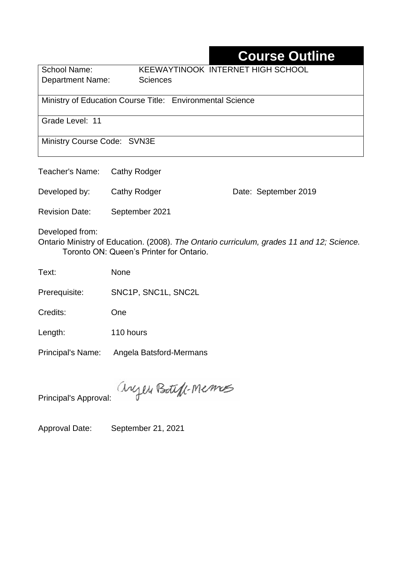## **Course Outline**

Department Name: Sciences

School Name: KEEWAYTINOOK INTERNET HIGH SCHOOL

Ministry of Education Course Title:Environmental Science

Grade Level: 11

Ministry Course Code: SVN3E

Teacher's Name: Cathy Rodger

Developed by: Cathy Rodger Date: September 2019

Revision Date: September 2021

Developed from:

Ontario Ministry of Education. (2008). *The Ontario curriculum, grades 11 and 12; Science.*  Toronto ON: Queen's Printer for Ontario.

Text: None

Prerequisite: SNC1P, SNC1L, SNC2L

Credits: One

Length: 110 hours

Principal's Name: Angela Batsford-Mermans

anyen Boteff-Memos

Principal's Approval:

Approval Date: September 21, 2021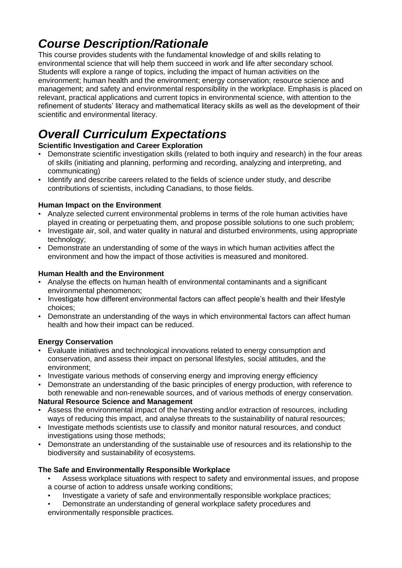## *Course Description/Rationale*

This course provides students with the fundamental knowledge of and skills relating to environmental science that will help them succeed in work and life after secondary school. Students will explore a range of topics, including the impact of human activities on the environment; human health and the environment; energy conservation; resource science and management; and safety and environmental responsibility in the workplace. Emphasis is placed on relevant, practical applications and current topics in environmental science, with attention to the refinement of students' literacy and mathematical literacy skills as well as the development of their scientific and environmental literacy.

# *Overall Curriculum Expectations*

### **Scientific Investigation and Career Exploration**

- Demonstrate scientific investigation skills (related to both inquiry and research) in the four areas of skills (initiating and planning, performing and recording, analyzing and interpreting, and communicating)
- Identify and describe careers related to the fields of science under study, and describe contributions of scientists, including Canadians, to those fields.

### **Human Impact on the Environment**

- Analyze selected current environmental problems in terms of the role human activities have played in creating or perpetuating them, and propose possible solutions to one such problem;
- Investigate air, soil, and water quality in natural and disturbed environments, using appropriate technology;
- Demonstrate an understanding of some of the ways in which human activities affect the environment and how the impact of those activities is measured and monitored.

### **Human Health and the Environment**

- Analyse the effects on human health of environmental contaminants and a significant environmental phenomenon;
- Investigate how different environmental factors can affect people's health and their lifestyle choices;
- Demonstrate an understanding of the ways in which environmental factors can affect human health and how their impact can be reduced.

### **Energy Conservation**

- Evaluate initiatives and technological innovations related to energy consumption and conservation, and assess their impact on personal lifestyles, social attitudes, and the environment;
- Investigate various methods of conserving energy and improving energy efficiency
- Demonstrate an understanding of the basic principles of energy production, with reference to both renewable and non-renewable sources, and of various methods of energy conservation.

### **Natural Resource Science and Management**

- Assess the environmental impact of the harvesting and/or extraction of resources, including ways of reducing this impact, and analyse threats to the sustainability of natural resources;
- Investigate methods scientists use to classify and monitor natural resources, and conduct investigations using those methods;
- Demonstrate an understanding of the sustainable use of resources and its relationship to the biodiversity and sustainability of ecosystems.

### **The Safe and Environmentally Responsible Workplace**

- Assess workplace situations with respect to safety and environmental issues, and propose a course of action to address unsafe working conditions;
- Investigate a variety of safe and environmentally responsible workplace practices;
- Demonstrate an understanding of general workplace safety procedures and environmentally responsible practices.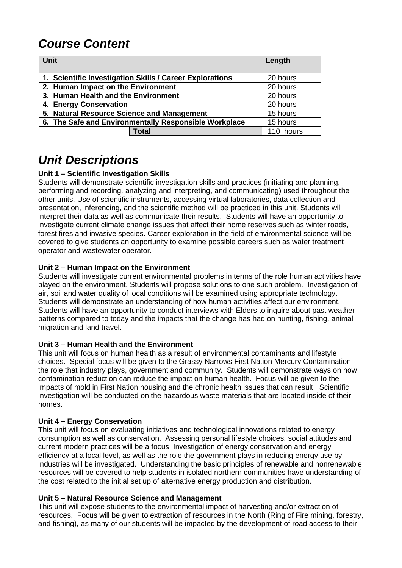## *Course Content*

| <b>Unit</b>                                              |              | Length    |
|----------------------------------------------------------|--------------|-----------|
| 1. Scientific Investigation Skills / Career Explorations | 20 hours     |           |
| 2. Human Impact on the Environment                       |              | 20 hours  |
| 3. Human Health and the Environment                      |              | 20 hours  |
| 4. Energy Conservation                                   |              | 20 hours  |
| 5. Natural Resource Science and Management               |              | 15 hours  |
| 6. The Safe and Environmentally Responsible Workplace    |              | 15 hours  |
|                                                          | <b>Total</b> | 110 hours |

## *Unit Descriptions*

#### **Unit 1 – Scientific Investigation Skills**

Students will demonstrate scientific investigation skills and practices (initiating and planning, performing and recording, analyzing and interpreting, and communicating) used throughout the other units. Use of scientific instruments, accessing virtual laboratories, data collection and presentation, inferencing, and the scientific method will be practiced in this unit. Students will interpret their data as well as communicate their results. Students will have an opportunity to investigate current climate change issues that affect their home reserves such as winter roads, forest fires and invasive species. Career exploration in the field of environmental science will be covered to give students an opportunity to examine possible careers such as water treatment operator and wastewater operator.

#### **Unit 2 – Human Impact on the Environment**

Students will investigate current environmental problems in terms of the role human activities have played on the environment. Students will propose solutions to one such problem. Investigation of air, soil and water quality of local conditions will be examined using appropriate technology. Students will demonstrate an understanding of how human activities affect our environment. Students will have an opportunity to conduct interviews with Elders to inquire about past weather patterns compared to today and the impacts that the change has had on hunting, fishing, animal migration and land travel.

#### **Unit 3 – Human Health and the Environment**

This unit will focus on human health as a result of environmental contaminants and lifestyle choices. Special focus will be given to the Grassy Narrows First Nation Mercury Contamination, the role that industry plays, government and community. Students will demonstrate ways on how contamination reduction can reduce the impact on human health. Focus will be given to the impacts of mold in First Nation housing and the chronic health issues that can result. Scientific investigation will be conducted on the hazardous waste materials that are located inside of their homes.

#### **Unit 4 – Energy Conservation**

This unit will focus on evaluating initiatives and technological innovations related to energy consumption as well as conservation. Assessing personal lifestyle choices, social attitudes and current modern practices will be a focus. Investigation of energy conservation and energy efficiency at a local level, as well as the role the government plays in reducing energy use by industries will be investigated. Understanding the basic principles of renewable and nonrenewable resources will be covered to help students in isolated northern communities have understanding of the cost related to the initial set up of alternative energy production and distribution.

#### **Unit 5 – Natural Resource Science and Management**

This unit will expose students to the environmental impact of harvesting and/or extraction of resources. Focus will be given to extraction of resources in the North (Ring of Fire mining, forestry, and fishing), as many of our students will be impacted by the development of road access to their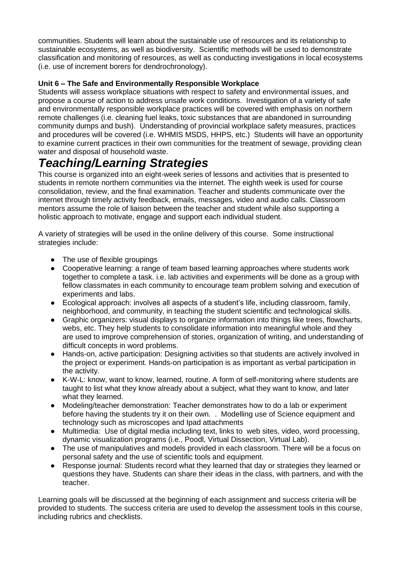communities. Students will learn about the sustainable use of resources and its relationship to sustainable ecosystems, as well as biodiversity. Scientific methods will be used to demonstrate classification and monitoring of resources, as well as conducting investigations in local ecosystems (i.e. use of increment borers for dendrochronology).

#### **Unit 6 – The Safe and Environmentally Responsible Workplace**

Students will assess workplace situations with respect to safety and environmental issues, and propose a course of action to address unsafe work conditions. Investigation of a variety of safe and environmentally responsible workplace practices will be covered with emphasis on northern remote challenges (i.e. cleaning fuel leaks, toxic substances that are abandoned in surrounding community dumps and bush). Understanding of provincial workplace safety measures, practices and procedures will be covered (i.e. WHMIS MSDS, HHPS, etc.) Students will have an opportunity to examine current practices in their own communities for the treatment of sewage, providing clean water and disposal of household waste.

## *Teaching/Learning Strategies*

This course is organized into an eight-week series of lessons and activities that is presented to students in remote northern communities via the internet. The eighth week is used for course consolidation, review, and the final examination. Teacher and students communicate over the internet through timely activity feedback, emails, messages, video and audio calls. Classroom mentors assume the role of liaison between the teacher and student while also supporting a holistic approach to motivate, engage and support each individual student.

A variety of strategies will be used in the online delivery of this course. Some instructional strategies include:

- The use of flexible groupings
- Cooperative learning: a range of team based learning approaches where students work together to complete a task. i.e. lab activities and experiments will be done as a group with fellow classmates in each community to encourage team problem solving and execution of experiments and labs.
- Ecological approach: involves all aspects of a student's life, including classroom, family, neighborhood, and community, in teaching the student scientific and technological skills.
- Graphic organizers: visual displays to organize information into things like trees, flowcharts, webs, etc. They help students to consolidate information into meaningful whole and they are used to improve comprehension of stories, organization of writing, and understanding of difficult concepts in word problems.
- Hands-on, active participation: Designing activities so that students are actively involved in the project or experiment. Hands-on participation is as important as verbal participation in the activity.
- K-W-L: know, want to know, learned, routine. A form of self-monitoring where students are taught to list what they know already about a subject, what they want to know, and later what they learned.
- Modeling/teacher demonstration: Teacher demonstrates how to do a lab or experiment before having the students try it on their own. . Modelling use of Science equipment and technology such as microscopes and Ipad attachments
- Multimedia: Use of digital media including text, links to web sites, video, word processing, dynamic visualization programs (i.e., Poodl, Virtual Dissection, Virtual Lab).
- The use of manipulatives and models provided in each classroom. There will be a focus on personal safety and the use of scientific tools and equipment.
- Response journal: Students record what they learned that day or strategies they learned or questions they have. Students can share their ideas in the class, with partners, and with the teacher.

Learning goals will be discussed at the beginning of each assignment and success criteria will be provided to students. The success criteria are used to develop the assessment tools in this course, including rubrics and checklists.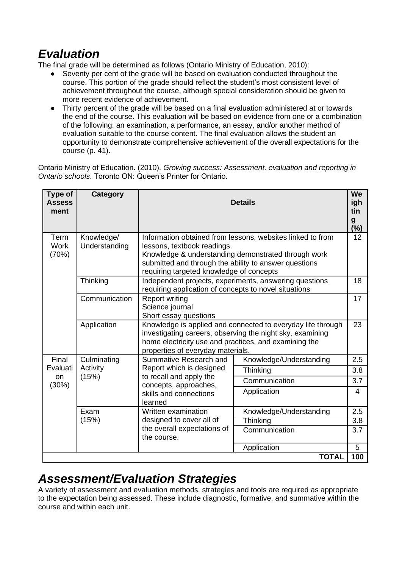## *Evaluation*

The final grade will be determined as follows (Ontario Ministry of Education, 2010):

- Seventy per cent of the grade will be based on evaluation conducted throughout the course. This portion of the grade should reflect the student's most consistent level of achievement throughout the course, although special consideration should be given to more recent evidence of achievement.
- Thirty percent of the grade will be based on a final evaluation administered at or towards the end of the course. This evaluation will be based on evidence from one or a combination of the following: an examination, a performance, an essay, and/or another method of evaluation suitable to the course content. The final evaluation allows the student an opportunity to demonstrate comprehensive achievement of the overall expectations for the course (p. 41).

Ontario Ministry of Education. (2010). *Growing success: Assessment, evaluation and reporting in Ontario schools*. Toronto ON: Queen's Printer for Ontario.

| Type of<br><b>Assess</b><br>ment | Category                         |                                                                                                                                                                                                                                                       | <b>Details</b>          | We<br>igh<br>tin<br>$\boldsymbol{g}$<br>$(\%)$ |
|----------------------------------|----------------------------------|-------------------------------------------------------------------------------------------------------------------------------------------------------------------------------------------------------------------------------------------------------|-------------------------|------------------------------------------------|
| Term<br><b>Work</b><br>(70%)     | Knowledge/<br>Understanding      | Information obtained from lessons, websites linked to from<br>lessons, textbook readings.<br>Knowledge & understanding demonstrated through work<br>submitted and through the ability to answer questions<br>requiring targeted knowledge of concepts |                         | 12                                             |
| Thinking                         |                                  | Independent projects, experiments, answering questions<br>requiring application of concepts to novel situations                                                                                                                                       |                         | 18                                             |
|                                  | Communication                    | <b>Report writing</b><br>Science journal<br>Short essay questions                                                                                                                                                                                     |                         | 17                                             |
|                                  | Application                      | Knowledge is applied and connected to everyday life through<br>investigating careers, observing the night sky, examining<br>home electricity use and practices, and examining the<br>properties of everyday materials.                                |                         | 23                                             |
| Final<br>Evaluati<br>on<br>(30%) | Culminating<br>Activity<br>(15%) | Summative Research and<br>Report which is designed<br>to recall and apply the<br>concepts, approaches,<br>skills and connections<br>learned                                                                                                           | Knowledge/Understanding | 2.5                                            |
|                                  |                                  |                                                                                                                                                                                                                                                       | Thinking                | 3.8                                            |
|                                  |                                  |                                                                                                                                                                                                                                                       | Communication           | 3.7                                            |
|                                  |                                  |                                                                                                                                                                                                                                                       | Application             | $\overline{4}$                                 |
|                                  | Exam<br>(15%)                    | Written examination<br>designed to cover all of<br>the overall expectations of<br>the course.                                                                                                                                                         | Knowledge/Understanding | 2.5                                            |
|                                  |                                  |                                                                                                                                                                                                                                                       | Thinking                | 3.8                                            |
|                                  |                                  |                                                                                                                                                                                                                                                       | Communication           | 3.7                                            |
|                                  |                                  |                                                                                                                                                                                                                                                       | Application             | 5                                              |
|                                  |                                  |                                                                                                                                                                                                                                                       | <b>TOTAL</b>            | 100                                            |

### *Assessment/Evaluation Strategies*

A variety of assessment and evaluation methods, strategies and tools are required as appropriate to the expectation being assessed. These include diagnostic, formative, and summative within the course and within each unit.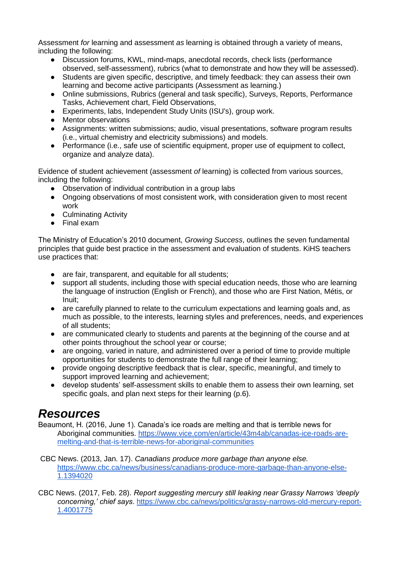Assessment *for* learning and assessment *as* learning is obtained through a variety of means, including the following:

- Discussion forums, KWL, mind-maps, anecdotal records, check lists (performance observed, self-assessment), rubrics (what to demonstrate and how they will be assessed).
- Students are given specific, descriptive, and timely feedback: they can assess their own learning and become active participants (Assessment as learning.)
- Online submissions, Rubrics (general and task specific), Surveys, Reports, Performance Tasks, Achievement chart, Field Observations,
- Experiments, labs, Independent Study Units (ISU's), group work.
- Mentor observations
- Assignments: written submissions; audio, visual presentations, software program results (i.e., virtual chemistry and electricity submissions) and models.
- Performance (i.e., safe use of scientific equipment, proper use of equipment to collect, organize and analyze data).

Evidence of student achievement (assessment *of* learning) is collected from various sources, including the following:

- Observation of individual contribution in a group labs
- Ongoing observations of most consistent work, with consideration given to most recent work
- Culminating Activity
- Final exam

The Ministry of Education's 2010 document, *Growing Success*, outlines the seven fundamental principles that guide best practice in the assessment and evaluation of students. KiHS teachers use practices that:

- are fair, transparent, and equitable for all students:
- support all students, including those with special education needs, those who are learning the language of instruction (English or French), and those who are First Nation, Métis, or Inuit;
- are carefully planned to relate to the curriculum expectations and learning goals and, as much as possible, to the interests, learning styles and preferences, needs, and experiences of all students;
- are communicated clearly to students and parents at the beginning of the course and at other points throughout the school year or course;
- are ongoing, varied in nature, and administered over a period of time to provide multiple opportunities for students to demonstrate the full range of their learning;
- provide ongoing descriptive feedback that is clear, specific, meaningful, and timely to support improved learning and achievement;
- develop students' self-assessment skills to enable them to assess their own learning, set specific goals, and plan next steps for their learning (p.6).

### *Resources*

Beaumont, H. (2016, June 1). Canada's ice roads are melting and that is terrible news for Aboriginal communities. [https://www.vice.com/en/article/43m4ab/canadas-ice-roads-are](https://www.vice.com/en/article/43m4ab/canadas-ice-roads-are-melting-and-that-is-terrible-news-for-aboriginal-communities)[melting-and-that-is-terrible-news-for-aboriginal-communities](https://www.vice.com/en/article/43m4ab/canadas-ice-roads-are-melting-and-that-is-terrible-news-for-aboriginal-communities)

CBC News. (2013, Jan. 17). *Canadians produce more garbage than anyone else.*  [https://www.cbc.ca/news/business/canadians-produce-more-garbage-than-anyone-else-](https://www.cbc.ca/news/business/canadians-produce-more-garbage-than-anyone-else-1.1394020)[1.1394020](https://www.cbc.ca/news/business/canadians-produce-more-garbage-than-anyone-else-1.1394020)

CBC News. (2017, Feb. 28). *Report suggesting mercury still leaking near Grassy Narrows 'deeply concerning,' chief says*. [https://www.cbc.ca/news/politics/grassy-narrows-old-mercury-report-](https://www.cbc.ca/news/politics/grassy-narrows-old-mercury-report-1.4001775)[1.4001775](https://www.cbc.ca/news/politics/grassy-narrows-old-mercury-report-1.4001775)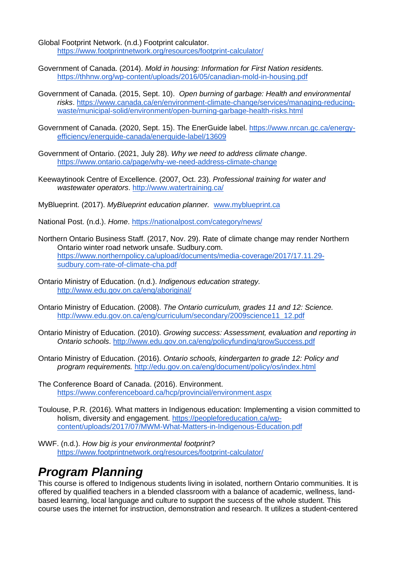Global Footprint Network. (n.d.) Footprint calculator. <https://www.footprintnetwork.org/resources/footprint-calculator/>

- Government of Canada. (2014). *Mold in housing: Information for First Nation residents.* <https://thhnw.org/wp-content/uploads/2016/05/canadian-mold-in-housing.pdf>
- Government of Canada. (2015, Sept. 10). *Open burning of garbage: Health and environmental risks*. [https://www.canada.ca/en/environment-climate-change/services/managing-reducing](https://www.canada.ca/en/environment-climate-change/services/managing-reducing-waste/municipal-solid/environment/open-burning-garbage-health-risks.html)[waste/municipal-solid/environment/open-burning-garbage-health-risks.html](https://www.canada.ca/en/environment-climate-change/services/managing-reducing-waste/municipal-solid/environment/open-burning-garbage-health-risks.html)
- Government of Canada. (2020, Sept. 15). The EnerGuide label. [https://www.nrcan.gc.ca/energy](https://www.nrcan.gc.ca/energy-efficiency/energuide-canada/energuide-label/13609)[efficiency/energuide-canada/energuide-label/13609](https://www.nrcan.gc.ca/energy-efficiency/energuide-canada/energuide-label/13609)
- Government of Ontario. (2021, July 28). *Why we need to address climate change*. <https://www.ontario.ca/page/why-we-need-address-climate-change>
- Keewaytinook Centre of Excellence. (2007, Oct. 23). *Professional training for water and wastewater operators*.<http://www.watertraining.ca/>

MyBlueprint. (2017). *MyBlueprint education planner.* [www.myblueprint.ca](http://www.myblueprint.ca/)

National Post. (n.d.). *Home*.<https://nationalpost.com/category/news/>

- Northern Ontario Business Staff. (2017, Nov. 29). Rate of climate change may render Northern Ontario winter road network unsafe. Sudbury.com. [https://www.northernpolicy.ca/upload/documents/media-coverage/2017/17.11.29](https://www.northernpolicy.ca/upload/documents/media-coverage/2017/17.11.29-sudbury.com-rate-of-climate-cha.pdf) [sudbury.com-rate-of-climate-cha.pdf](https://www.northernpolicy.ca/upload/documents/media-coverage/2017/17.11.29-sudbury.com-rate-of-climate-cha.pdf)
- Ontario Ministry of Education. (n.d.). *Indigenous education strategy.* <http://www.edu.gov.on.ca/eng/aboriginal/>
- Ontario Ministry of Education. (2008). *The Ontario curriculum, grades 11 and 12: Science.*  [http://www.edu.gov.on.ca/eng/curriculum/secondary/2009science11\\_12.pdf](http://www.edu.gov.on.ca/eng/curriculum/secondary/2009science11_12.pdf)
- Ontario Ministry of Education. (2010). *Growing success: Assessment, evaluation and reporting in Ontario schools*.<http://www.edu.gov.on.ca/eng/policyfunding/growSuccess.pdf>
- Ontario Ministry of Education. (2016). *Ontario schools, kindergarten to grade 12: Policy and program requirements.* <http://edu.gov.on.ca/eng/document/policy/os/index.html>
- The Conference Board of Canada. (2016). Environment. <https://www.conferenceboard.ca/hcp/provincial/environment.aspx>
- Toulouse, P.R. (2016). What matters in Indigenous education: Implementing a vision committed to holism, diversity and engagement. [https://peopleforeducation.ca/wp](https://peopleforeducation.ca/wp-content/uploads/2017/07/MWM-What-Matters-in-Indigenous-Education.pdf)[content/uploads/2017/07/MWM-What-Matters-in-Indigenous-Education.pdf](https://peopleforeducation.ca/wp-content/uploads/2017/07/MWM-What-Matters-in-Indigenous-Education.pdf)
- WWF. (n.d.). *How big is your environmental footprint?*  <https://www.footprintnetwork.org/resources/footprint-calculator/>

### *Program Planning*

This course is offered to Indigenous students living in isolated, northern Ontario communities. It is offered by qualified teachers in a blended classroom with a balance of academic, wellness, landbased learning, local language and culture to support the success of the whole student. This course uses the internet for instruction, demonstration and research. It utilizes a student-centered